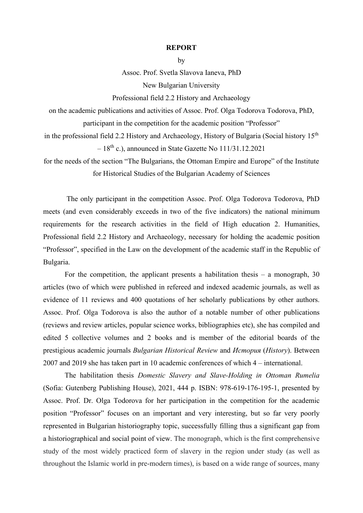## **REPORT**

by

Assoc. Prof. Svetla Slavova Ianeva, PhD New Bulgarian University

Professional field 2.2 History and Archaeology

on the academic publications and activities of Assoc. Prof. Olga Todorova Todorova, PhD,

participant in the competition for the academic position "Professor"

in the professional field 2.2 History and Archaeology, History of Bulgaria (Social history 15<sup>th</sup>)  $-18^{th}$  c.), announced in State Gazette No  $111/31.12.2021$ 

for the needs of the section "The Bulgarians, the Ottoman Empire and Europe" of the Institute for Historical Studies of the Bulgarian Academy of Sciences

The only participant in the competition Assoc. Prof. Olga Todorova Todorova, PhD meets (and even considerably exceeds in two of the five indicators) the national minimum requirements for the research activities in the field of High education 2. Humanities, Professional field 2.2 History and Archaeology, necessary for holding the academic position "Professor", specified in the Law on the development of the academic staff in the Republic of Bulgaria.

For the competition, the applicant presents a habilitation thesis – a monograph, 30 articles (two of which were published in refereed and indexed academic journals, as well as evidence of 11 reviews and 400 quotations of her scholarly publications by other authors. Assoc. Prof. Olga Todorova is also the author of a notable number of other publications (reviews and review articles, popular science works, bibliographies etc), she has compiled and edited 5 collective volumes and 2 books and is member of the editorial boards of the prestigious academic journals *Bulgarian Historical Review* and *История* (*History*). Between 2007 and 2019 she has taken part in 10 academic conferences of which 4 – international.

The habilitation thesis *Domestic Slavery and Slave-Holding in Ottoman Rumelia* (Sofia: Gutenberg Publishing House), 2021, 444 p. ISBN: 978-619-176-195-1, presented by Assoc. Prof. Dr. Olga Todorova for her participation in the competition for the academic position "Professor" focuses on an important and very interesting, but so far very poorly represented in Bulgarian historiography topic, successfully filling thus a significant gap from a historiographical and social point of view. The monograph, which is the first comprehensive study of the most widely practiced form of slavery in the region under study (as well as throughout the Islamic world in pre-modern times), is based on a wide range of sources, many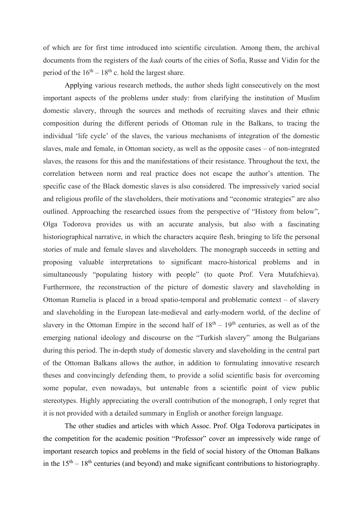of which are for first time introduced into scientific circulation. Among them, the archival documents from the registers of the *kadı* courts of the cities of Sofia, Russe and Vidin for the period of the  $16<sup>th</sup> - 18<sup>th</sup>$  c. hold the largest share.

Applying various research methods, the author sheds light consecutively on the most important aspects of the problems under study: from clarifying the institution of Muslim domestic slavery, through the sources and methods of recruiting slaves and their ethnic composition during the different periods of Ottoman rule in the Balkans, to tracing the individual 'life cycle' of the slaves, the various mechanisms of integration of the domestic slaves, male and female, in Ottoman society, as well as the opposite cases – of non-integrated slaves, the reasons for this and the manifestations of their resistance. Throughout the text, the correlation between norm and real practice does not escape the author's attention. The specific case of the Black domestic slaves is also considered. The impressively varied social and religious profile of the slaveholders, their motivations and "economic strategies" are also outlined. Approaching the researched issues from the perspective of "History from below", Olga Todorova provides us with an accurate analysis, but also with a fascinating historiographical narrative, in which the characters acquire flesh, bringing to life the personal stories of male and female slaves and slaveholders. The monograph succeeds in setting and proposing valuable interpretations to significant macro-historical problems and in simultaneously "populating history with people" (to quote Prof. Vera Mutafchieva). Furthermore, the reconstruction of the picture of domestic slavery and slaveholding in Ottoman Rumelia is placed in a broad spatio-temporal and problematic context – of slavery and slaveholding in the European late-medieval and early-modern world, of the decline of slavery in the Ottoman Empire in the second half of  $18<sup>th</sup> - 19<sup>th</sup>$  centuries, as well as of the emerging national ideology and discourse on the "Turkish slavery" among the Bulgarians during this period. The in-depth study of domestic slavery and slaveholding in the central part of the Ottoman Balkans allows the author, in addition to formulating innovative research theses and convincingly defending them, to provide a solid scientific basis for overcoming some popular, even nowadays, but untenable from a scientific point of view public stereotypes. Highly appreciating the overall contribution of the monograph, I only regret that it is not provided with a detailed summary in English or another foreign language.

The other studies and articles with which Assoc. Prof. Olga Todorova participates in the competition for the academic position "Professor" cover an impressively wide range of important research topics and problems in the field of social history of the Ottoman Balkans in the  $15<sup>th</sup> - 18<sup>th</sup>$  centuries (and beyond) and make significant contributions to historiography.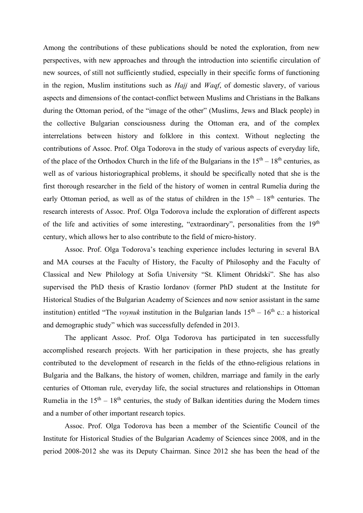Among the contributions of these publications should be noted the exploration, from new perspectives, with new approaches and through the introduction into scientific circulation of new sources, of still not sufficiently studied, especially in their specific forms of functioning in the region, Muslim institutions such as *Hajj* and *Waqf*, of domestic slavery, of various aspects and dimensions of the contact-conflict between Muslims and Christians in the Balkans during the Ottoman period, of the "image of the other" (Muslims, Jews and Black people) in the collective Bulgarian consciousness during the Ottoman era, and of the complex interrelations between history and folklore in this context. Without neglecting the contributions of Assoc. Prof. Olga Todorova in the study of various aspects of everyday life, of the place of the Orthodox Church in the life of the Bulgarians in the  $15<sup>th</sup> - 18<sup>th</sup>$  centuries, as well as of various historiographical problems, it should be specifically noted that she is the first thorough researcher in the field of the history of women in central Rumelia during the early Ottoman period, as well as of the status of children in the  $15<sup>th</sup> - 18<sup>th</sup>$  centuries. The research interests of Assoc. Prof. Olga Todorova include the exploration of different aspects of the life and activities of some interesting, "extraordinary", personalities from the 19<sup>th</sup> century, which allows her to also contribute to the field of micro-history.

Assoc. Prof. Olga Todorova's teaching experience includes lecturing in several BA and MA courses at the Faculty of History, the Faculty of Philosophy and the Faculty of Classical and New Philology at Sofia University "St. Kliment Ohridski". She has also supervised the PhD thesis of Krastio Iordanov (former PhD student at the Institute for Historical Studies of the Bulgarian Academy of Sciences and now senior assistant in the same institution) entitled "The *voynuk* institution in the Bulgarian lands  $15<sup>th</sup> - 16<sup>th</sup>$  c.: a historical and demographic study" which was successfully defended in 2013.

The applicant Assoc. Prof. Olga Todorova has participated in ten successfully accomplished research projects. With her participation in these projects, she has greatly contributed to the development of research in the fields of the ethno-religious relations in Bulgaria and the Balkans, the history of women, children, marriage and family in the early centuries of Ottoman rule, everyday life, the social structures and relationships in Ottoman Rumelia in the  $15<sup>th</sup> - 18<sup>th</sup>$  centuries, the study of Balkan identities during the Modern times and a number of other important research topics.

Assoc. Prof. Olga Todorova has been a member of the Scientific Council of the Institute for Historical Studies of the Bulgarian Academy of Sciences since 2008, and in the period 2008-2012 she was its Deputy Chairman. Since 2012 she has been the head of the